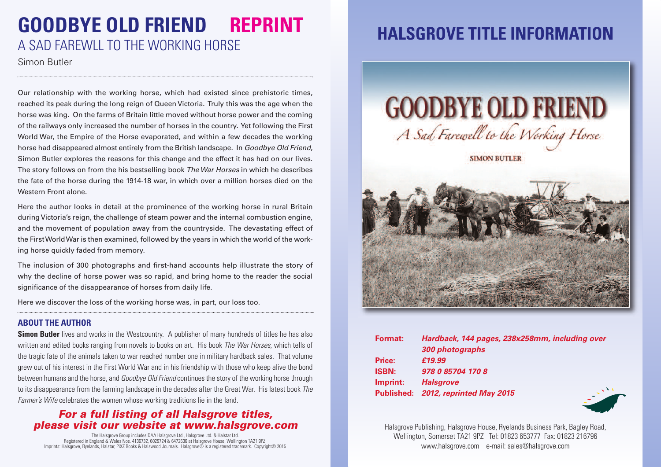## **GOODBYE OLD FRIEND REPRINT** A SAD FAREWLL TO THE WORKING HORSE

Simon Butler

Our relationship with the working horse, which had existed since prehistoric times, reached its peak during the long reign of Queen Victoria. Truly this was the age when the horse was king. On the farms of Britain little moved without horse power and the coming of the railways only increased the number of horses in the country. Yet following the First World War, the Empire of the Horse evaporated, and within a few decades the working horse had disappeared almost entirely from the British landscape. In *Goodbye Old Friend*, Simon Butler explores the reasons for this change and the effect it has had on our lives. The story follows on from the his bestselling book *The War Horses* in which he describes the fate of the horse during the 1914-18 war, in which over a million horses died on the Western Front alone.

Here the author looks in detail at the prominence of the working horse in rural Britain duringVictoria's reign, the challenge of steam power and the internal combustion engine, and the movement of population away from the countryside. The devastating effect of the FirstWorldWar is then examined, followed by the years in which the world of the working horse quickly faded from memory.

The inclusion of 300 photographs and first-hand accounts help illustrate the story of why the decline of horse power was so rapid, and bring home to the reader the social significance of the disappearance of horses from daily life.

Here we discover the loss of the working horse was, in part, our loss too.

#### **ABOUT THE AUTHOR**

**Simon Butler** lives and works in the Westcountry. A publisher of many hundreds of titles he has also written and edited books ranging from novels to books on art. His book *The War Horses*, which tells of the tragic fate of the animals taken to war reached number one in military hardback sales. That volume grew out of his interest in the First World War and in his friendship with those who keep alive the bond between humans and the horse, and *Goodbye Old Friend* continuesthe story of the working horse through to its disappearance from the farming landscape in the decades after the Great War. His latest book *The Farmer's Wife* celebrates the women whose working traditions lie in the land.

### *For a full listing of all Halsgrove titles, please visit our website at www.halsgrove.com*

The Halsgrove Group includes DAA Halsgrove Ltd., Halsgrove Ltd. & Halstar Ltd.<br>Registered in England & Wales Nos. 4 136732, 6029724 & 6472636 at Halsgrove House, Wellington TA21 9PZ.<br>Imprints: Halsgrove, Ryelands, Halstar

### **HALSGROVE TITLE INFORMATION**



| Hardback, 144 pages, 238x258mm, including over |
|------------------------------------------------|
| 300 photographs                                |
| £19.99                                         |
| 978 0 85704 170 8                              |
| <b>Halsgrove</b>                               |
| Published: 2012, reprinted May 2015            |
|                                                |



Halsgrove Publishing, Halsgrove House, Ryelands Business Park, Bagley Road, Wellington, Somerset TA21 9PZ Tel: 01823 653777 Fax: 01823 216796 www.halsgrove.com e-mail: sales@halsgrove.com